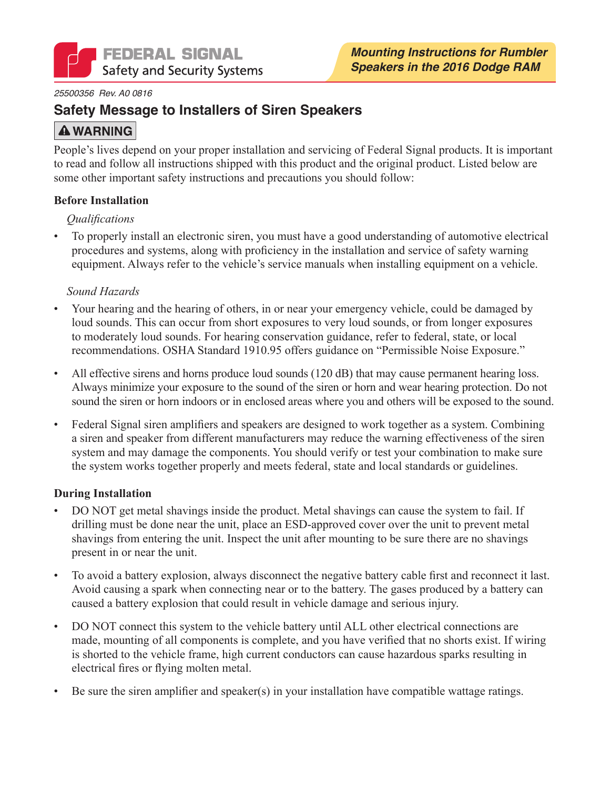

#### 25500356 Rev. A0 0816

### **Safety Message to Installers of Siren Speakers**

## **A WARNING**

People's lives depend on your proper installation and servicing of Federal Signal products. It is important to read and follow all instructions shipped with this product and the original product. Listed below are some other important safety instructions and precautions you should follow:

#### **Before Installation**

#### *<u>Oualifications</u>*

To properly install an electronic siren, you must have a good understanding of automotive electrical  $\bullet$ procedures and systems, along with proficiency in the installation and service of safety warning equipment. Always refer to the vehicle's service manuals when installing equipment on a vehicle.

#### Sound Hazards

- Your hearing and the hearing of others, in or near your emergency vehicle, could be damaged by loud sounds. This can occur from short exposures to very loud sounds, or from longer exposures to moderately loud sounds. For hearing conservation guidance, refer to federal, state, or local recommendations. OSHA Standard 1910.95 offers guidance on "Permissible Noise Exposure."
- All effective sirens and horns produce loud sounds (120 dB) that may cause permanent hearing loss. Always minimize your exposure to the sound of the siren or horn and wear hearing protection. Do not sound the siren or horn indoors or in enclosed areas where you and others will be exposed to the sound.
- Federal Signal siren amplifiers and speakers are designed to work together as a system. Combining a siren and speaker from different manufacturers may reduce the warning effectiveness of the siren system and may damage the components. You should verify or test your combination to make sure the system works together properly and meets federal, state and local standards or guidelines.

#### **During Installation**

- DO NOT get metal shavings inside the product. Metal shavings can cause the system to fail. If drilling must be done near the unit, place an ESD-approved cover over the unit to prevent metal shavings from entering the unit. Inspect the unit after mounting to be sure there are no shavings present in or near the unit.
- To avoid a battery explosion, always disconnect the negative battery cable first and reconnect it last.  $\bullet$ Avoid causing a spark when connecting near or to the battery. The gases produced by a battery can caused a battery explosion that could result in vehicle damage and serious injury.
- DO NOT connect this system to the vehicle battery until ALL other electrical connections are made, mounting of all components is complete, and you have verified that no shorts exist. If wiring is shorted to the vehicle frame, high current conductors can cause hazardous sparks resulting in electrical fires or flying molten metal.
- Be sure the siren amplifier and speaker(s) in your installation have compatible wattage ratings.  $\bullet$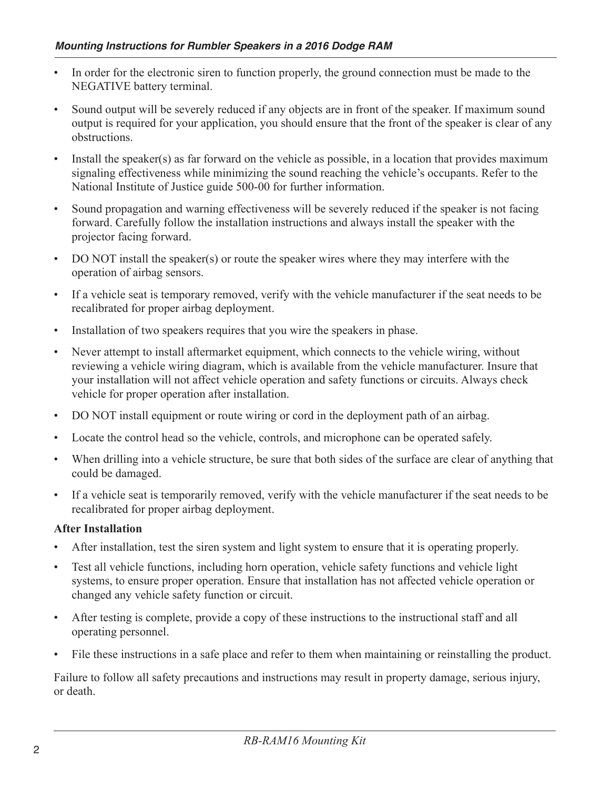- In order for the electronic siren to function properly, the ground connection must be made to the NEGATIVE battery terminal.
- Sound output will be severely reduced if any objects are in front of the speaker. If maximum sound output is required for your application, you should ensure that the front of the speaker is clear of any obstructions.
- Install the speaker(s) as far forward on the vehicle as possible, in a location that provides maximum signaling effectiveness while minimizing the sound reaching the vehicle's occupants. Refer to the National Institute of Justice guide 500-00 for further information.
- Sound propagation and warning effectiveness will be severely reduced if the speaker is not facing  $\bullet$ forward. Carefully follow the installation instructions and always install the speaker with the projector facing forward.
- DO NOT install the speaker(s) or route the speaker wires where they may interfere with the operation of airbag sensors.
- If a vehicle seat is temporary removed, verify with the vehicle manufacturer if the seat needs to be recalibrated for proper airbag deployment.
- Installation of two speakers requires that you wire the speakers in phase.  $\bullet$
- Never attempt to install aftermarket equipment, which connects to the vehicle wiring, without reviewing a vehicle wiring diagram, which is available from the vehicle manufacturer. Insure that your installation will not affect vehicle operation and safety functions or circuits. Always check vehicle for proper operation after installation.
- DO NOT install equipment or route wiring or cord in the deployment path of an airbag.  $\bullet$
- Locate the control head so the vehicle, controls, and microphone can be operated safely.  $\bullet$
- When drilling into a vehicle structure, be sure that both sides of the surface are clear of anything that  $\bullet$ could be damaged.
- If a vehicle seat is temporarily removed, verify with the vehicle manufacturer if the seat needs to be recalibrated for proper airbag deployment.

#### **After Installation**

- After installation, test the siren system and light system to ensure that it is operating properly.
- Test all vehicle functions, including horn operation, vehicle safety functions and vehicle light  $\bullet$ systems, to ensure proper operation. Ensure that installation has not affected vehicle operation or changed any vehicle safety function or circuit.
- After testing is complete, provide a copy of these instructions to the instructional staff and all  $\bullet$ operating personnel.
- File these instructions in a safe place and refer to them when maintaining or reinstalling the product.

Failure to follow all safety precautions and instructions may result in property damage, serious injury, or death.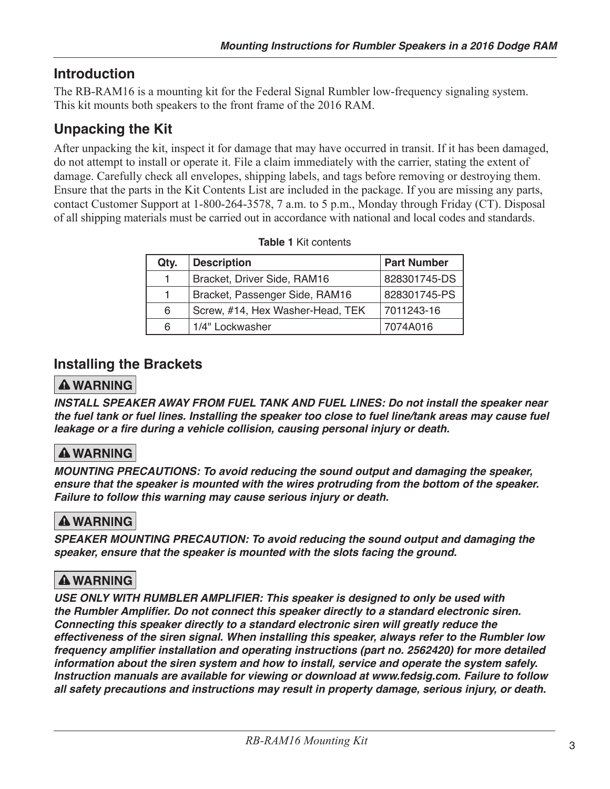## **Introduction**

The RB-RAM16 is a mounting kit for the Federal Signal Rumbler low-frequency signaling system. This kit mounts both speakers to the front frame of the 2016 RAM.

# **Unpacking the Kit**

After unpacking the kit, inspect it for damage that may have occurred in transit. If it has been damaged, do not attempt to install or operate it. File a claim immediately with the carrier, stating the extent of damage. Carefully check all envelopes, shipping labels, and tags before removing or destroying them. Ensure that the parts in the Kit Contents List are included in the package. If you are missing any parts, contact Customer Support at 1-800-264-3578, 7 a.m. to 5 p.m., Monday through Friday (CT). Disposal of all shipping materials must be carried out in accordance with national and local codes and standards.

| Qty. | <b>Description</b>               | <b>Part Number</b> |
|------|----------------------------------|--------------------|
|      | Bracket, Driver Side, RAM16      | 828301745-DS       |
|      | Bracket, Passenger Side, RAM16   | 828301745-PS       |
| 6    | Screw, #14, Hex Washer-Head, TEK | 7011243-16         |
| 6    | 1/4" Lockwasher                  | 7074A016           |

|  | <b>Table 1 Kit contents</b> |
|--|-----------------------------|
|--|-----------------------------|

### **Installing the Brackets**

### **A WARNING**

INSTALL SPEAKER AWAY FROM FUEL TANK AND FUEL LINES: Do not install the speaker near the fuel tank or fuel lines. Installing the speaker too close to fuel line/tank areas may cause fuel leakage or a fire during a vehicle collision, causing personal injury or death.

## **A WARNING**

MOUNTING PRECAUTIONS: To avoid reducing the sound output and damaging the speaker, ensure that the speaker is mounted with the wires protruding from the bottom of the speaker. Failure to follow this warning may cause serious injury or death.

### **A WARNING**

SPEAKER MOUNTING PRECAUTION: To avoid reducing the sound output and damaging the speaker, ensure that the speaker is mounted with the slots facing the ground.

## **A WARNING**

USE ONLY WITH RUMBLER AMPLIFIER: This speaker is designed to only be used with the Rumbler Amplifier. Do not connect this speaker directly to a standard electronic siren. Connecting this speaker directly to a standard electronic siren will greatly reduce the effectiveness of the siren signal. When installing this speaker, always refer to the Rumbler low frequency amplifier installation and operating instructions (part no. 2562420) for more detailed information about the siren system and how to install, service and operate the system safely. Instruction manuals are available for viewing or download at www.fedsig.com. Failure to follow all safety precautions and instructions may result in property damage, serious injury, or death.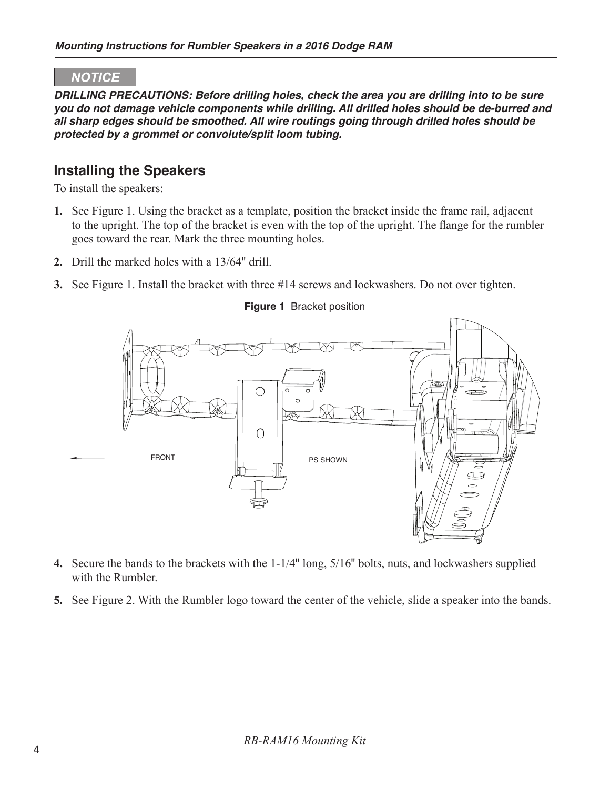#### **NOTICE**

DRILLING PRECAUTIONS: Before drilling holes, check the area you are drilling into to be sure you do not damage vehicle components while drilling. All drilled holes should be de-burred and all sharp edges should be smoothed. All wire routings going through drilled holes should be protected by a grommet or convolute/split loom tubing.

### **Installing the Speakers**

To install the speakers:

- 1. See Figure 1. Using the bracket as a template, position the bracket inside the frame rail, adjacent to the upright. The top of the bracket is even with the top of the upright. The flange for the rumbler goes toward the rear. Mark the three mounting holes.
- 2. Drill the marked holes with a 13/64" drill.
- 3. See Figure 1. Install the bracket with three #14 screws and lockwashers. Do not over tighten.



#### Figure 1 Bracket position

- 4. Secure the bands to the brackets with the 1-1/4" long, 5/16" bolts, nuts, and lockwashers supplied with the Rumbler
- 5. See Figure 2. With the Rumbler logo toward the center of the vehicle, slide a speaker into the bands.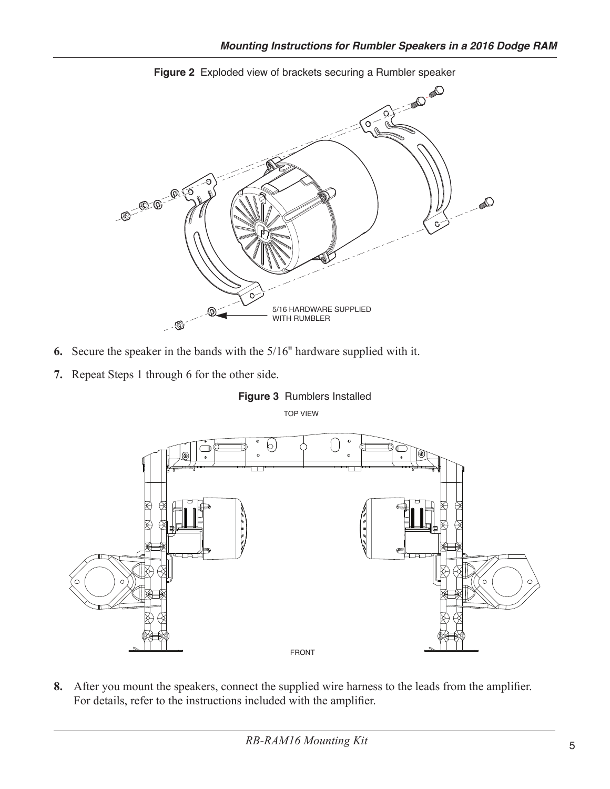

Figure 2 Exploded view of brackets securing a Rumbler speaker

- 6. Secure the speaker in the bands with the  $5/16$ <sup>"</sup> hardware supplied with it.
- 7. Repeat Steps 1 through 6 for the other side.







8. After you mount the speakers, connect the supplied wire harness to the leads from the amplifier. For details, refer to the instructions included with the amplifier.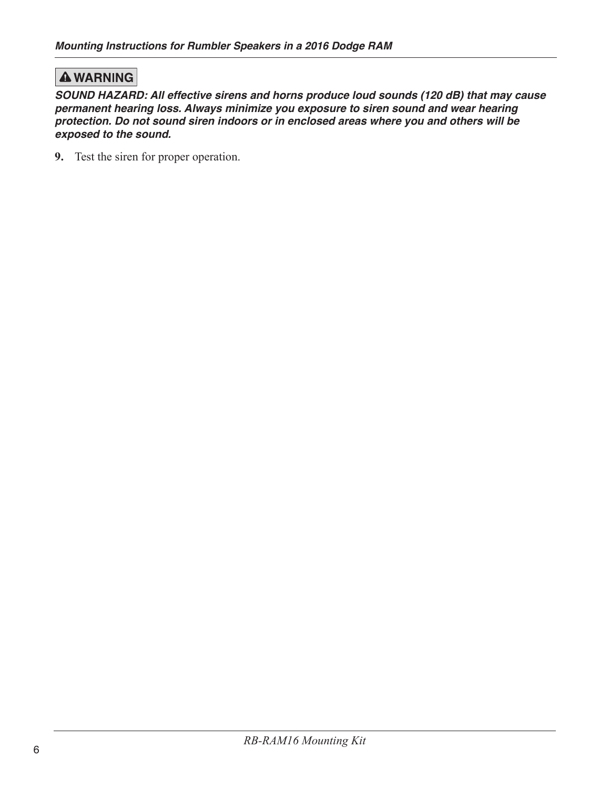### **A WARNING**

SOUND HAZARD: All effective sirens and horns produce loud sounds (120 dB) that may cause permanent hearing loss. Always minimize you exposure to siren sound and wear hearing protection. Do not sound siren indoors or in enclosed areas where you and others will be exposed to the sound.

9. Test the siren for proper operation.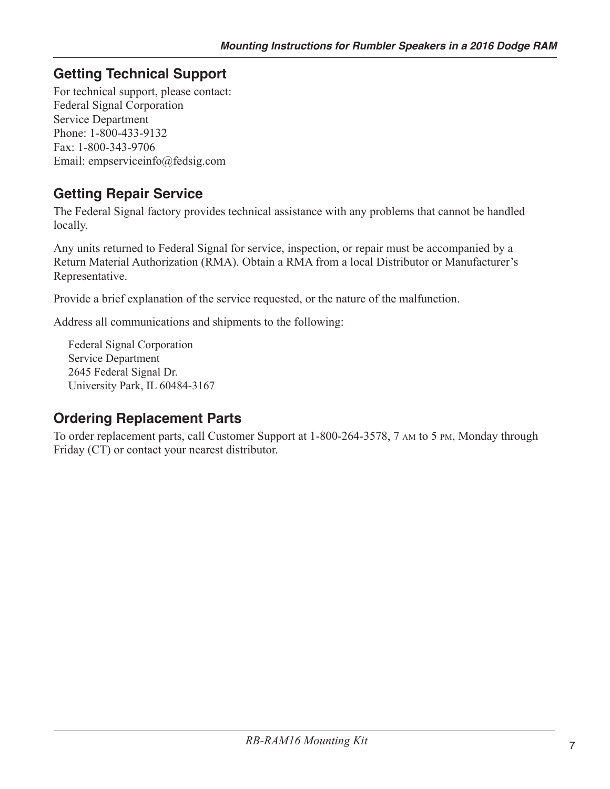# **Getting Technical Support**

For technical support, please contact: **Federal Signal Corporation** Service Department Phone: 1-800-433-9132 Fax: 1-800-343-9706 Email: empserviceinfo@fedsig.com

## **Getting Repair Service**

The Federal Signal factory provides technical assistance with any problems that cannot be handled locally.

Any units returned to Federal Signal for service, inspection, or repair must be accompanied by a Return Material Authorization (RMA). Obtain a RMA from a local Distributor or Manufacturer's Representative.

Provide a brief explanation of the service requested, or the nature of the malfunction.

Address all communications and shipments to the following:

**Federal Signal Corporation Service Department** 2645 Federal Signal Dr. University Park, IL 60484-3167

## **Ordering Replacement Parts**

To order replacement parts, call Customer Support at 1-800-264-3578, 7 AM to 5 PM, Monday through Friday (CT) or contact your nearest distributor.